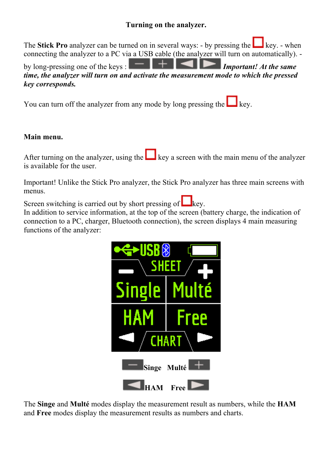## **Turning on the analyzer.**

The **Stick Pro** analyzer can be turned on in several ways: - by pressing the key. - when connecting the analyzer to a PC via a USB cable (the analyzer will turn on automatically). -

by long-pressing one of the keys : **IMPORTAN IMPORTANT CONSTRAINING** Important! At the same *time, the analyzer will turn on and activate the measurement mode to which the pressed key corresponds.*

You can turn off the analyzer from any mode by long pressing the  $\Box$  key.

#### **Main menu.**

After turning on the analyzer, using the  $\Box$  key a screen with the main menu of the analyzer is available for the user.

Important! Unlike the Stick Pro analyzer, the Stick Pro analyzer has three main screens with menus.

Screen switching is carried out by short pressing of  $\Box$  key.

In addition to service information, at the top of the screen (battery charge, the indication of connection to a PC, charger, Bluetooth connection), the screen displays 4 main measuring functions of the analyzer:



The **Singe** and **Multé** modes display the measurement result as numbers, while the **HAM** and **Free** modes display the measurement results as numbers and charts.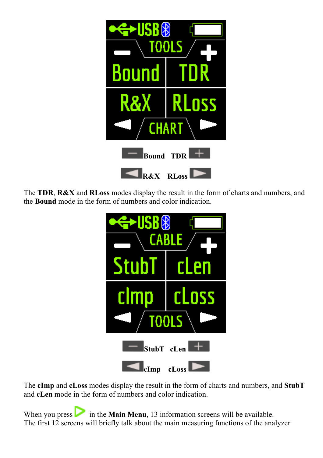

The **TDR**, **R&X** and **RLoss** modes display the result in the form of charts and numbers, and the **Bound** mode in the form of numbers and color indication.



The **cImp** and **cLoss** modes display the result in the form of charts and numbers, and **StubT** and **cLen** mode in the form of numbers and color indication.

When you press in the **Main Menu**, 13 information screens will be available. The first 12 screens will briefly talk about the main measuring functions of the analyzer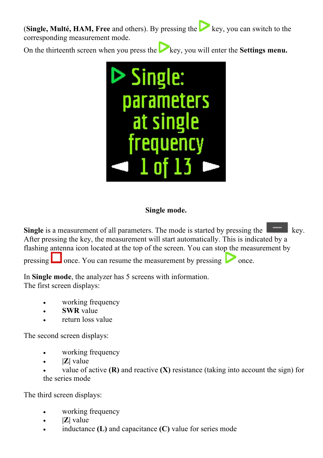**(Single, Multé, HAM, Free** and others). By pressing the key, you can switch to the corresponding measurement mode.

On the thirteenth screen when you press the key, you will enter the **Settings menu.** 



### **Single mode.**

**Single** is a measurement of all parameters. The mode is started by pressing the **key.** key. After pressing the key, the measurement will start automatically. This is indicated by a flashing antenna icon located at the top of the screen. You can stop the measurement by pressing  $\Box$  once. You can resume the measurement by pressing  $\Box$  once.

In **Single mode**, the analyzer has 5 screens with information. The first screen displays:

- working frequency
- **SWR** value
- return loss value

The second screen displays:

- working frequency
- **|Z|** value
- value of active  $(R)$  and reactive  $(X)$  resistance (taking into account the sign) for the series mode

The third screen displays:

- working frequency
- **|Z|** value
- inductance **(L)** and capacitance **(C)** value for series mode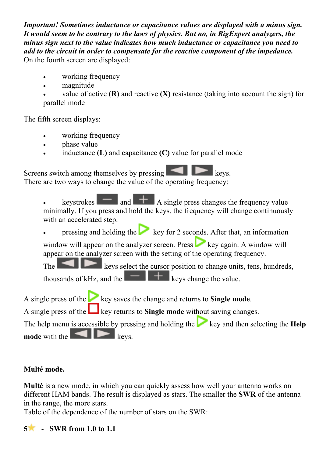*Important! Sometimes inductance or capacitance values are displayed with a minus sign. It would seem to be contrary to the laws of physics. But no, in RigExpert analyzers, the minus sign next to the value indicates how much inductance or capacitance you need to add to the circuit in order to compensate for the reactive component of the impedance.* On the fourth screen are displayed:

- working frequency
- magnitude
- value of active **(R)** and reactive **(X)** resistance (taking into account the sign) for parallel mode

The fifth screen displays:

- working frequency
- phase value
- inductance **(L)** and capacitance **(C)** value for parallel mode

Screens switch among themselves by pressing There are two ways to change the value of the operating frequency:

keystrokes  $\begin{array}{|c|c|c|}\n\hline\n\end{array}$  and  $\begin{array}{|c|c|c|}\n\hline\n\end{array}$  A single press changes the frequency value minimally. If you press and hold the keys, the frequency will change continuously with an accelerated step.

pressing and holding the key for 2 seconds. After that, an information

window will appear on the analyzer screen. Press  $\sim$  key again. A window will appear on the analyzer screen with the setting of the operating frequency.

The keys select the cursor position to change units, tens, hundreds, thousands of kHz, and the  $\mathbf{H}$   $\mathbf{H}$  keys change the value.

A single press of the key saves the change and returns to **Single mode**.

A single press of the key returns to **Single mode** without saving changes.

The help menu is accessible by pressing and holding the key and then selecting the **Help mode** with the **keys**.

# **Multé mode.**

**Multé** is a new mode, in which you can quickly assess how well your antenna works on different HAM bands. The result is displayed as stars. The smaller the **SWR** of the antenna in the range, the more stars.

Table of the dependence of the number of stars on the SWR:

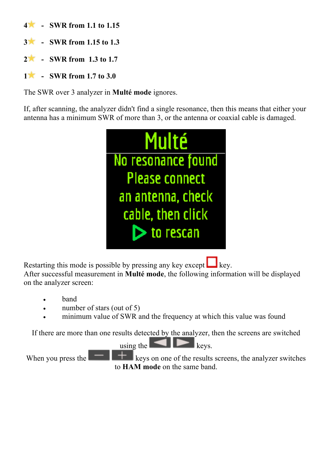- **4 - SWR from 1.1 to 1.15**
- **3 - SWR from 1.15 to 1.3**
- **2 - SWR from 1.3 to 1.7**
- **1 - SWR from 1.7 to 3.0**

The SWR over 3 analyzer in **Multé mode** ignores.

If, after scanning, the analyzer didn't find a single resonance, then this means that either your antenna has a minimum SWR of more than 3, or the antenna or coaxial cable is damaged.



Restarting this mode is possible by pressing any key except  $\Box$  key.

After successful measurement in **Multé mode**, the following information will be displayed on the analyzer screen:

- band
- number of stars (out of 5)
- minimum value of SWR and the frequency at which this value was found

If there are more than one results detected by the analyzer, then the screens are switched

using the  $\|\cdot\|_{\text{keys.}}$ 

When you press the  $\mathbb{R}$  keys on one of the results screens, the analyzer switches to **HAM mode** on the same band.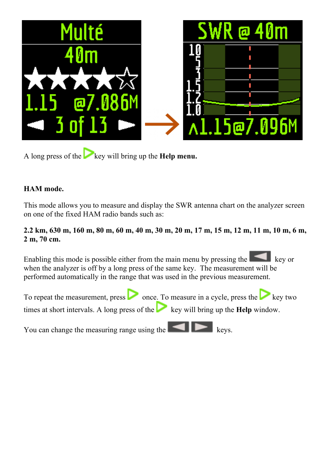

A long press of the key will bring up the **Help menu.** 

### **HAM mode.**

This mode allows you to measure and display the SWR antenna chart on the analyzer screen on one of the fixed HAM radio bands such as:

### **2.2 km, 630 m, 160 m, 80 m, 60 m, 40 m, 30 m, 20 m, 17 m, 15 m, 12 m, 11 m, 10 m, 6 m, 2 m, 70 cm.**

Enabling this mode is possible either from the main menu by pressing the key or when the analyzer is off by a long press of the same key. The measurement will be performed automatically in the range that was used in the previous measurement.



You can change the measuring range using the  $\Box$  keys.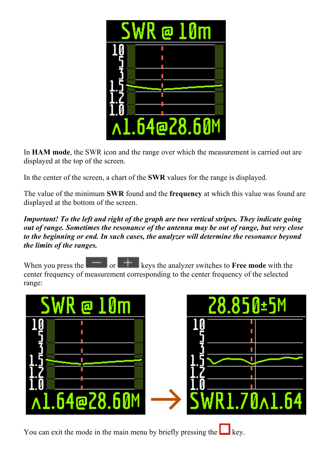

In **HAM mode**, the SWR icon and the range over which the measurement is carried out are displayed at the top of the screen.

In the center of the screen, a chart of the **SWR** values for the range is displayed.

The value of the minimum **SWR** found and the **frequency** at which this value was found are displayed at the bottom of the screen.

*Important! To the left and right of the graph are two vertical stripes. They indicate going out of range. Sometimes the resonance of the antenna may be out of range, but very close to the beginning or end. In such cases, the analyzer will determine the resonance beyond the limits of the ranges.*

When you press the  $\|\cdot\|$  or  $\|\cdot\|$  keys the analyzer switches to **Free mode** with the center frequency of measurement corresponding to the center frequency of the selected range:



You can exit the mode in the main menu by briefly pressing the  $\Box$  key.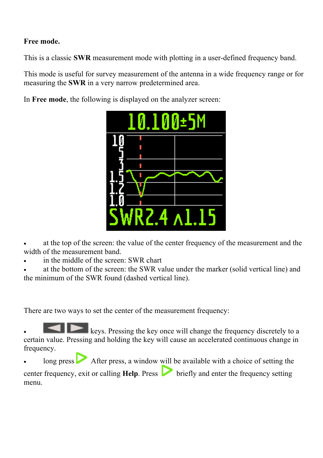### **Free mode.**

This is a classic **SWR** measurement mode with plotting in a user-defined frequency band.

This mode is useful for survey measurement of the antenna in a wide frequency range or for measuring the **SWR** in a very narrow predetermined area.

In **Free mode**, the following is displayed on the analyzer screen:



at the top of the screen: the value of the center frequency of the measurement and the width of the measurement band.

in the middle of the screen: SWR chart

at the bottom of the screen: the SWR value under the marker (solid vertical line) and the minimum of the SWR found (dashed vertical line).

There are two ways to set the center of the measurement frequency:

**• keys. Pressing the key once will change the frequency discretely to a** certain value. Pressing and holding the key will cause an accelerated continuous change in frequency.

 $\sim$  After press, a window will be available with a choice of setting the

center frequency, exit or calling **Help**. Press briefly and enter the frequency setting menu.